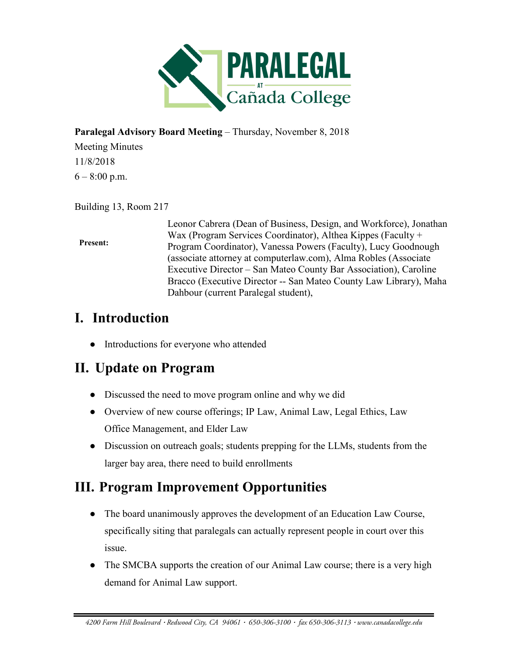

#### **Paralegal Advisory Board Meeting** – Thursday, November 8, 2018

Meeting Minutes 11/8/2018  $6 - 8:00$  p.m.

Building 13, Room 217

#### **Present:**

Leonor Cabrera (Dean of Business, Design, and Workforce), Jonathan Wax (Program Services Coordinator), Althea Kippes (Faculty + Program Coordinator), Vanessa Powers (Faculty), Lucy Goodnough (associate attorney at computerlaw.com), Alma Robles (Associate Executive Director – San Mateo County Bar Association), Caroline Bracco (Executive Director -- San Mateo County Law Library), Maha Dahbour (current Paralegal student),

# **I. Introduction**

• Introductions for everyone who attended

# **II. Update on Program**

- Discussed the need to move program online and why we did
- Overview of new course offerings; IP Law, Animal Law, Legal Ethics, Law Office Management, and Elder Law
- Discussion on outreach goals; students prepping for the LLMs, students from the larger bay area, there need to build enrollments

# **III. Program Improvement Opportunities**

- The board unanimously approves the development of an Education Law Course, specifically siting that paralegals can actually represent people in court over this issue.
- The SMCBA supports the creation of our Animal Law course; there is a very high demand for Animal Law support.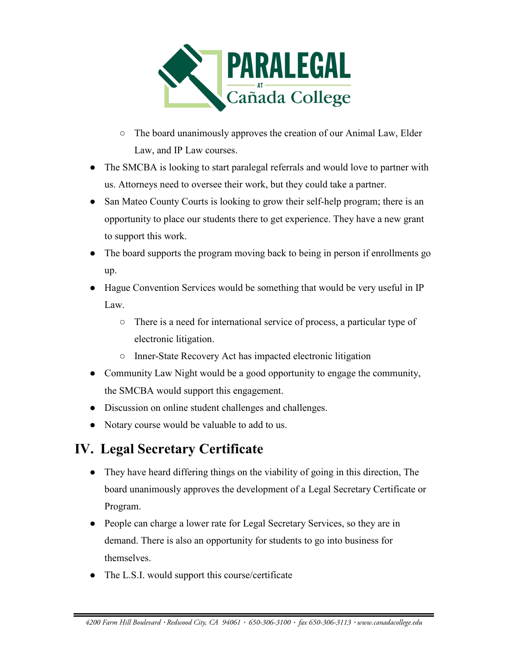

- The board unanimously approves the creation of our Animal Law, Elder Law, and IP Law courses.
- The SMCBA is looking to start paralegal referrals and would love to partner with us. Attorneys need to oversee their work, but they could take a partner.
- San Mateo County Courts is looking to grow their self-help program; there is an opportunity to place our students there to get experience. They have a new grant to support this work.
- The board supports the program moving back to being in person if enrollments go up.
- Hague Convention Services would be something that would be very useful in IP Law.
	- There is a need for international service of process, a particular type of electronic litigation.
	- Inner-State Recovery Act has impacted electronic litigation
- Community Law Night would be a good opportunity to engage the community, the SMCBA would support this engagement.
- Discussion on online student challenges and challenges.
- Notary course would be valuable to add to us.

# **IV. Legal Secretary Certificate**

- They have heard differing things on the viability of going in this direction, The board unanimously approves the development of a Legal Secretary Certificate or Program.
- People can charge a lower rate for Legal Secretary Services, so they are in demand. There is also an opportunity for students to go into business for themselves.
- The L.S.I. would support this course/certificate